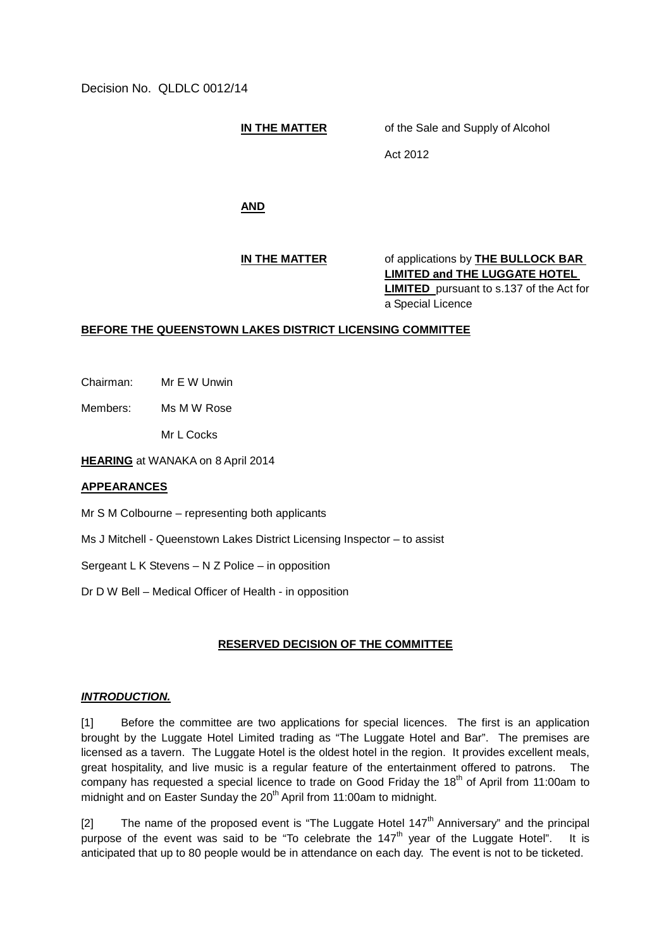Decision No. QLDLC 0012/14

**IN THE MATTER** of the Sale and Supply of Alcohol

Act 2012

**AND**

**IN THE MATTER** of applications by **THE BULLOCK BAR LIMITED and THE LUGGATE HOTEL LIMITED** pursuant to s.137 of the Act for a Special Licence

## **BEFORE THE QUEENSTOWN LAKES DISTRICT LICENSING COMMITTEE**

Chairman: Mr E W Unwin

Members: Ms M W Rose

Mr L Cocks

**HEARING** at WANAKA on 8 April 2014

## **APPEARANCES**

Mr S M Colbourne – representing both applicants

Ms J Mitchell - Queenstown Lakes District Licensing Inspector – to assist

Sergeant L K Stevens – N Z Police – in opposition

Dr D W Bell – Medical Officer of Health - in opposition

## **RESERVED DECISION OF THE COMMITTEE**

## *INTRODUCTION.*

[1] Before the committee are two applications for special licences. The first is an application brought by the Luggate Hotel Limited trading as "The Luggate Hotel and Bar". The premises are licensed as a tavern. The Luggate Hotel is the oldest hotel in the region. It provides excellent meals, great hospitality, and live music is a regular feature of the entertainment offered to patrons. The company has requested a special licence to trade on Good Friday the 18<sup>th</sup> of April from 11:00am to midnight and on Easter Sunday the 20<sup>th</sup> April from 11:00am to midnight.

[2] The name of the proposed event is "The Luggate Hotel  $147<sup>th</sup>$  Anniversary" and the principal purpose of the event was said to be "To celebrate the  $147<sup>th</sup>$  year of the Luggate Hotel". It is anticipated that up to 80 people would be in attendance on each day. The event is not to be ticketed.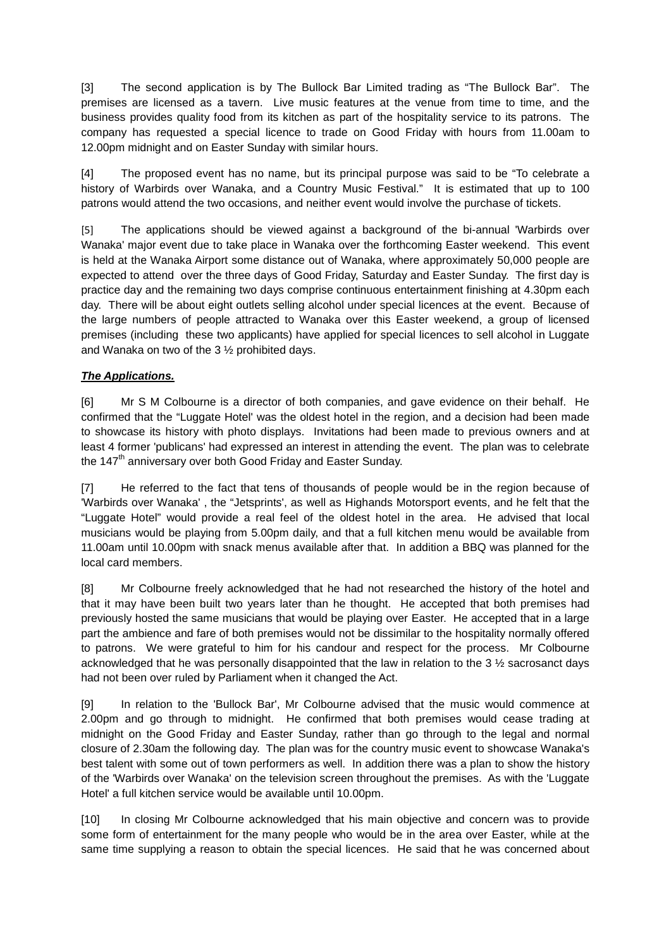[3] The second application is by The Bullock Bar Limited trading as "The Bullock Bar". The premises are licensed as a tavern. Live music features at the venue from time to time, and the business provides quality food from its kitchen as part of the hospitality service to its patrons. The company has requested a special licence to trade on Good Friday with hours from 11.00am to 12.00pm midnight and on Easter Sunday with similar hours.

[4] The proposed event has no name, but its principal purpose was said to be "To celebrate a history of Warbirds over Wanaka, and a Country Music Festival." It is estimated that up to 100 patrons would attend the two occasions, and neither event would involve the purchase of tickets.

[5] The applications should be viewed against a background of the bi-annual 'Warbirds over Wanaka' major event due to take place in Wanaka over the forthcoming Easter weekend. This event is held at the Wanaka Airport some distance out of Wanaka, where approximately 50,000 people are expected to attend over the three days of Good Friday, Saturday and Easter Sunday. The first day is practice day and the remaining two days comprise continuous entertainment finishing at 4.30pm each day. There will be about eight outlets selling alcohol under special licences at the event. Because of the large numbers of people attracted to Wanaka over this Easter weekend, a group of licensed premises (including these two applicants) have applied for special licences to sell alcohol in Luggate and Wanaka on two of the 3 ½ prohibited days.

# *The Applications.*

[6] Mr S M Colbourne is a director of both companies, and gave evidence on their behalf. He confirmed that the "Luggate Hotel' was the oldest hotel in the region, and a decision had been made to showcase its history with photo displays. Invitations had been made to previous owners and at least 4 former 'publicans' had expressed an interest in attending the event. The plan was to celebrate the  $147<sup>th</sup>$  anniversary over both Good Friday and Easter Sunday.

[7] He referred to the fact that tens of thousands of people would be in the region because of 'Warbirds over Wanaka' , the "Jetsprints', as well as Highands Motorsport events, and he felt that the "Luggate Hotel" would provide a real feel of the oldest hotel in the area. He advised that local musicians would be playing from 5.00pm daily, and that a full kitchen menu would be available from 11.00am until 10.00pm with snack menus available after that. In addition a BBQ was planned for the local card members.

[8] Mr Colbourne freely acknowledged that he had not researched the history of the hotel and that it may have been built two years later than he thought. He accepted that both premises had previously hosted the same musicians that would be playing over Easter. He accepted that in a large part the ambience and fare of both premises would not be dissimilar to the hospitality normally offered to patrons. We were grateful to him for his candour and respect for the process. Mr Colbourne acknowledged that he was personally disappointed that the law in relation to the 3 ½ sacrosanct days had not been over ruled by Parliament when it changed the Act.

[9] In relation to the 'Bullock Bar', Mr Colbourne advised that the music would commence at 2.00pm and go through to midnight. He confirmed that both premises would cease trading at midnight on the Good Friday and Easter Sunday, rather than go through to the legal and normal closure of 2.30am the following day. The plan was for the country music event to showcase Wanaka's best talent with some out of town performers as well. In addition there was a plan to show the history of the 'Warbirds over Wanaka' on the television screen throughout the premises. As with the 'Luggate Hotel' a full kitchen service would be available until 10.00pm.

[10] In closing Mr Colbourne acknowledged that his main objective and concern was to provide some form of entertainment for the many people who would be in the area over Easter, while at the same time supplying a reason to obtain the special licences. He said that he was concerned about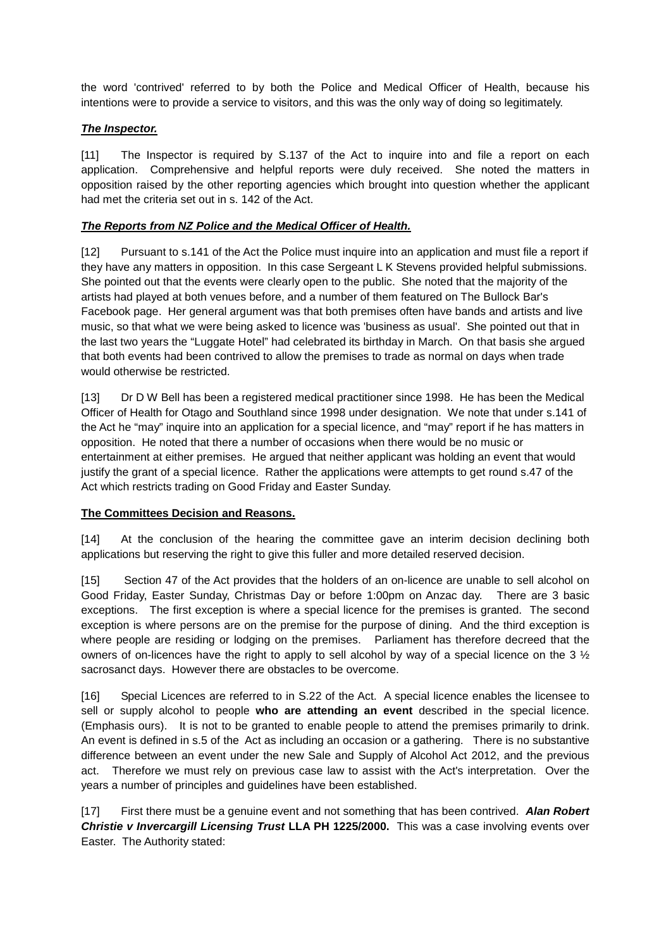the word 'contrived' referred to by both the Police and Medical Officer of Health, because his intentions were to provide a service to visitors, and this was the only way of doing so legitimately.

# *The Inspector.*

[11] The Inspector is required by S.137 of the Act to inquire into and file a report on each application. Comprehensive and helpful reports were duly received. She noted the matters in opposition raised by the other reporting agencies which brought into question whether the applicant had met the criteria set out in s. 142 of the Act.

# *The Reports from NZ Police and the Medical Officer of Health.*

[12] Pursuant to s.141 of the Act the Police must inquire into an application and must file a report if they have any matters in opposition. In this case Sergeant L K Stevens provided helpful submissions. She pointed out that the events were clearly open to the public. She noted that the majority of the artists had played at both venues before, and a number of them featured on The Bullock Bar's Facebook page. Her general argument was that both premises often have bands and artists and live music, so that what we were being asked to licence was 'business as usual'. She pointed out that in the last two years the "Luggate Hotel" had celebrated its birthday in March. On that basis she argued that both events had been contrived to allow the premises to trade as normal on days when trade would otherwise be restricted.

[13] Dr D W Bell has been a registered medical practitioner since 1998. He has been the Medical Officer of Health for Otago and Southland since 1998 under designation. We note that under s.141 of the Act he "may" inquire into an application for a special licence, and "may" report if he has matters in opposition. He noted that there a number of occasions when there would be no music or entertainment at either premises. He argued that neither applicant was holding an event that would justify the grant of a special licence. Rather the applications were attempts to get round s.47 of the Act which restricts trading on Good Friday and Easter Sunday.

## **The Committees Decision and Reasons.**

[14] At the conclusion of the hearing the committee gave an interim decision declining both applications but reserving the right to give this fuller and more detailed reserved decision.

[15] Section 47 of the Act provides that the holders of an on-licence are unable to sell alcohol on Good Friday, Easter Sunday, Christmas Day or before 1:00pm on Anzac day. There are 3 basic exceptions. The first exception is where a special licence for the premises is granted. The second exception is where persons are on the premise for the purpose of dining. And the third exception is where people are residing or lodging on the premises. Parliament has therefore decreed that the owners of on-licences have the right to apply to sell alcohol by way of a special licence on the 3 ½ sacrosanct days. However there are obstacles to be overcome.

[16] Special Licences are referred to in S.22 of the Act. A special licence enables the licensee to sell or supply alcohol to people **who are attending an event** described in the special licence. (Emphasis ours). It is not to be granted to enable people to attend the premises primarily to drink. An event is defined in s.5 of the Act as including an occasion or a gathering. There is no substantive difference between an event under the new Sale and Supply of Alcohol Act 2012, and the previous act. Therefore we must rely on previous case law to assist with the Act's interpretation. Over the years a number of principles and guidelines have been established.

[17] First there must be a genuine event and not something that has been contrived. *Alan Robert Christie v Invercargill Licensing Trust* **LLA PH 1225/2000.** This was a case involving events over Easter. The Authority stated: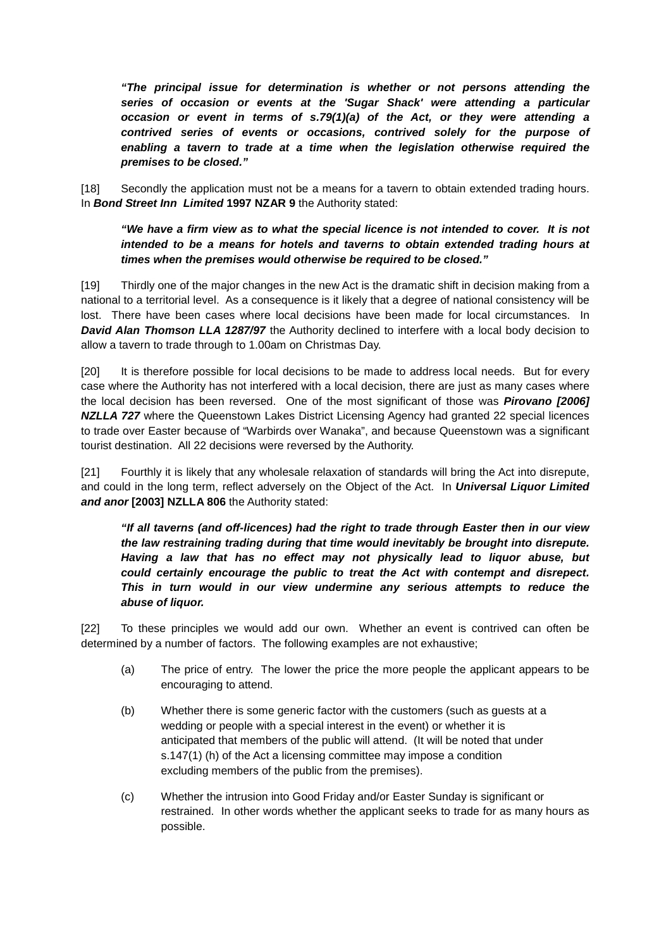*"The principal issue for determination is whether or not persons attending the series of occasion or events at the 'Sugar Shack' were attending a particular occasion or event in terms of s.79(1)(a) of the Act, or they were attending a contrived series of events or occasions, contrived solely for the purpose of enabling a tavern to trade at a time when the legislation otherwise required the premises to be closed."*

[18] Secondly the application must not be a means for a tavern to obtain extended trading hours. In *Bond Street Inn Limited* **1997 NZAR 9** the Authority stated:

# *"We have a firm view as to what the special licence is not intended to cover. It is not intended to be a means for hotels and taverns to obtain extended trading hours at times when the premises would otherwise be required to be closed."*

[19] Thirdly one of the major changes in the new Act is the dramatic shift in decision making from a national to a territorial level. As a consequence is it likely that a degree of national consistency will be lost. There have been cases where local decisions have been made for local circumstances. In **David Alan Thomson LLA 1287/97** the Authority declined to interfere with a local body decision to allow a tavern to trade through to 1.00am on Christmas Day.

[20] It is therefore possible for local decisions to be made to address local needs. But for every case where the Authority has not interfered with a local decision, there are just as many cases where the local decision has been reversed. One of the most significant of those was *Pirovano [2006] NZLLA 727* where the Queenstown Lakes District Licensing Agency had granted 22 special licences to trade over Easter because of "Warbirds over Wanaka", and because Queenstown was a significant tourist destination. All 22 decisions were reversed by the Authority.

[21] Fourthly it is likely that any wholesale relaxation of standards will bring the Act into disrepute, and could in the long term, reflect adversely on the Object of the Act. In *Universal Liquor Limited and anor* **[2003] NZLLA 806** the Authority stated:

*"If all taverns (and off-licences) had the right to trade through Easter then in our view the law restraining trading during that time would inevitably be brought into disrepute. Having a law that has no effect may not physically lead to liquor abuse, but could certainly encourage the public to treat the Act with contempt and disrepect. This in turn would in our view undermine any serious attempts to reduce the abuse of liquor.*

[22] To these principles we would add our own. Whether an event is contrived can often be determined by a number of factors. The following examples are not exhaustive;

- (a) The price of entry. The lower the price the more people the applicant appears to be encouraging to attend.
- (b) Whether there is some generic factor with the customers (such as guests at a wedding or people with a special interest in the event) or whether it is anticipated that members of the public will attend. (It will be noted that under s.147(1) (h) of the Act a licensing committee may impose a condition excluding members of the public from the premises).
- (c) Whether the intrusion into Good Friday and/or Easter Sunday is significant or restrained. In other words whether the applicant seeks to trade for as many hours as possible.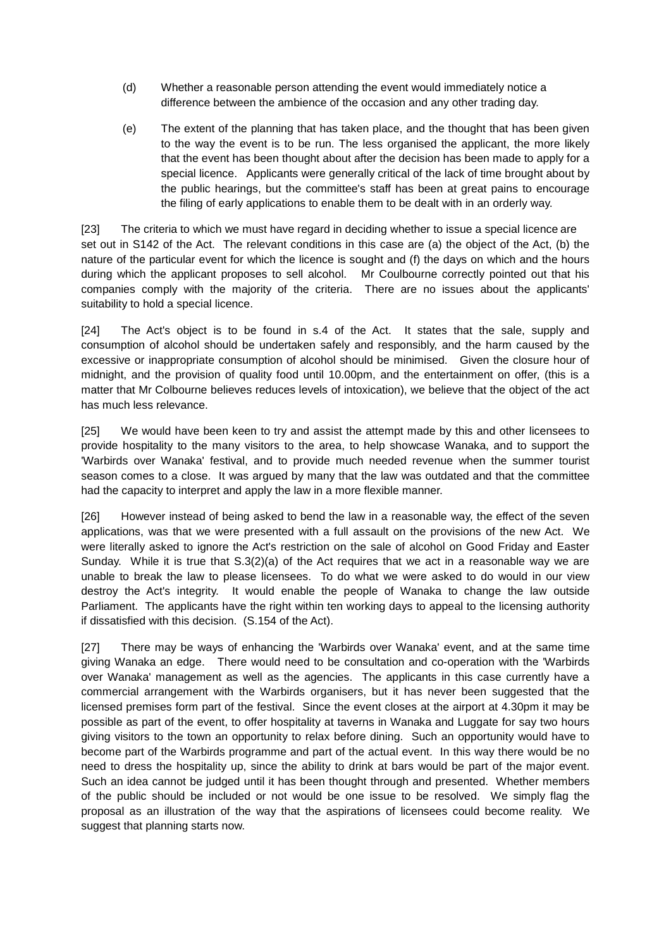- (d) Whether a reasonable person attending the event would immediately notice a difference between the ambience of the occasion and any other trading day.
- (e) The extent of the planning that has taken place, and the thought that has been given to the way the event is to be run. The less organised the applicant, the more likely that the event has been thought about after the decision has been made to apply for a special licence. Applicants were generally critical of the lack of time brought about by the public hearings, but the committee's staff has been at great pains to encourage the filing of early applications to enable them to be dealt with in an orderly way.

[23] The criteria to which we must have regard in deciding whether to issue a special licence are set out in S142 of the Act. The relevant conditions in this case are (a) the object of the Act, (b) the nature of the particular event for which the licence is sought and (f) the days on which and the hours during which the applicant proposes to sell alcohol. Mr Coulbourne correctly pointed out that his companies comply with the majority of the criteria. There are no issues about the applicants' suitability to hold a special licence.

[24] The Act's object is to be found in s.4 of the Act. It states that the sale, supply and consumption of alcohol should be undertaken safely and responsibly, and the harm caused by the excessive or inappropriate consumption of alcohol should be minimised. Given the closure hour of midnight, and the provision of quality food until 10.00pm, and the entertainment on offer, (this is a matter that Mr Colbourne believes reduces levels of intoxication), we believe that the object of the act has much less relevance.

[25] We would have been keen to try and assist the attempt made by this and other licensees to provide hospitality to the many visitors to the area, to help showcase Wanaka, and to support the 'Warbirds over Wanaka' festival, and to provide much needed revenue when the summer tourist season comes to a close. It was argued by many that the law was outdated and that the committee had the capacity to interpret and apply the law in a more flexible manner.

[26] However instead of being asked to bend the law in a reasonable way, the effect of the seven applications, was that we were presented with a full assault on the provisions of the new Act. We were literally asked to ignore the Act's restriction on the sale of alcohol on Good Friday and Easter Sunday. While it is true that  $S(2)(a)$  of the Act requires that we act in a reasonable way we are unable to break the law to please licensees. To do what we were asked to do would in our view destroy the Act's integrity. It would enable the people of Wanaka to change the law outside Parliament. The applicants have the right within ten working days to appeal to the licensing authority if dissatisfied with this decision. (S.154 of the Act).

[27] There may be ways of enhancing the 'Warbirds over Wanaka' event, and at the same time giving Wanaka an edge. There would need to be consultation and co-operation with the 'Warbirds over Wanaka' management as well as the agencies. The applicants in this case currently have a commercial arrangement with the Warbirds organisers, but it has never been suggested that the licensed premises form part of the festival. Since the event closes at the airport at 4.30pm it may be possible as part of the event, to offer hospitality at taverns in Wanaka and Luggate for say two hours giving visitors to the town an opportunity to relax before dining. Such an opportunity would have to become part of the Warbirds programme and part of the actual event. In this way there would be no need to dress the hospitality up, since the ability to drink at bars would be part of the major event. Such an idea cannot be judged until it has been thought through and presented. Whether members of the public should be included or not would be one issue to be resolved. We simply flag the proposal as an illustration of the way that the aspirations of licensees could become reality. We suggest that planning starts now.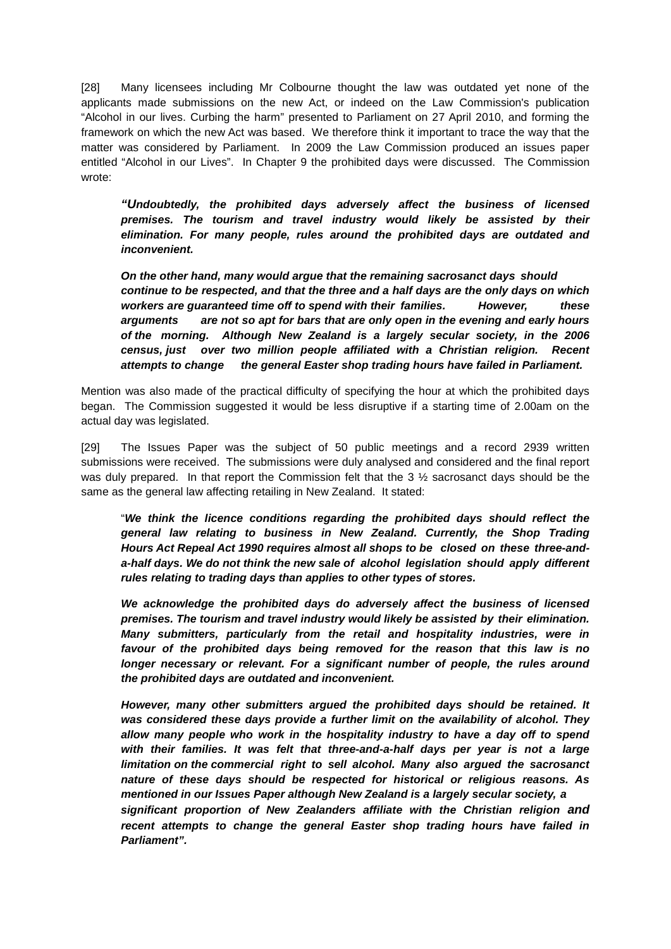[28] Many licensees including Mr Colbourne thought the law was outdated yet none of the applicants made submissions on the new Act, or indeed on the Law Commission's publication "Alcohol in our lives. Curbing the harm" presented to Parliament on 27 April 2010, and forming the framework on which the new Act was based. We therefore think it important to trace the way that the matter was considered by Parliament. In 2009 the Law Commission produced an issues paper entitled "Alcohol in our Lives". In Chapter 9 the prohibited days were discussed. The Commission wrote:

*"Undoubtedly, the prohibited days adversely affect the business of licensed premises. The tourism and travel industry would likely be assisted by their elimination. For many people, rules around the prohibited days are outdated and inconvenient.*

*On the other hand, many would argue that the remaining sacrosanct days should continue to be respected, and that the three and a half days are the only days on which workers are guaranteed time off to spend with their families. However, these arguments are not so apt for bars that are only open in the evening and early hours of the morning. Although New Zealand is a largely secular society, in the 2006 census, just over two million people affiliated with a Christian religion. Recent attempts to change the general Easter shop trading hours have failed in Parliament.*

Mention was also made of the practical difficulty of specifying the hour at which the prohibited days began. The Commission suggested it would be less disruptive if a starting time of 2.00am on the actual day was legislated.

[29] The Issues Paper was the subject of 50 public meetings and a record 2939 written submissions were received. The submissions were duly analysed and considered and the final report was duly prepared. In that report the Commission felt that the 3  $\frac{1}{2}$  sacrosanct days should be the same as the general law affecting retailing in New Zealand. It stated:

"*We think the licence conditions regarding the prohibited days should reflect the general law relating to business in New Zealand. Currently, the Shop Trading Hours Act Repeal Act 1990 requires almost all shops to be closed on these three-anda-half days. We do not think the new sale of alcohol legislation should apply different rules relating to trading days than applies to other types of stores.*

*We acknowledge the prohibited days do adversely affect the business of licensed premises. The tourism and travel industry would likely be assisted by their elimination. Many submitters, particularly from the retail and hospitality industries, were in favour of the prohibited days being removed for the reason that this law is no longer necessary or relevant. For a significant number of people, the rules around the prohibited days are outdated and inconvenient.*

*However, many other submitters argued the prohibited days should be retained. It was considered these days provide a further limit on the availability of alcohol. They allow many people who work in the hospitality industry to have a day off to spend with their families. It was felt that three-and-a-half days per year is not a large limitation on the commercial right to sell alcohol. Many also argued the sacrosanct nature of these days should be respected for historical or religious reasons. As mentioned in our Issues Paper although New Zealand is a largely secular society, a significant proportion of New Zealanders affiliate with the Christian religion and recent attempts to change the general Easter shop trading hours have failed in* 

*Parliament".*